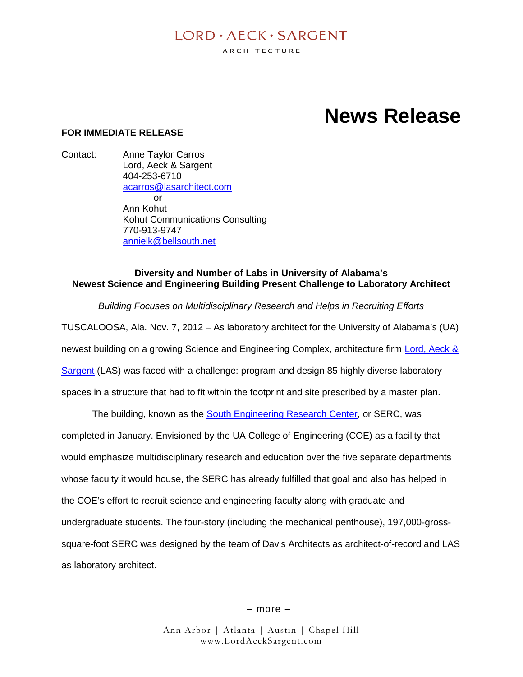# $I$  ORD  $\cdot$  AECK  $\cdot$  SARGENT

ARCHITECTURE

# **News Release**

#### **FOR IMMEDIATE RELEASE**

Contact: Anne Taylor Carros Lord, Aeck & Sargent 404-253-6710 acarros@lasarchitect.com  $\alpha$ r Ann Kohut Kohut Communications Consulting 770-913-9747 annielk@bellsouth.net

#### **Diversity and Number of Labs in University of Alabama's Newest Science and Engineering Building Present Challenge to Laboratory Architect**

*Building Focuses on Multidisciplinary Research and Helps in Recruiting Efforts*

TUSCALOOSA, Ala. Nov. 7, 2012 – As laboratory architect for the University of Alabama's (UA) newest building on a growing Science and Engineering Complex, architecture firm Lord, Aeck & Sargent (LAS) was faced with a challenge: program and design 85 highly diverse laboratory spaces in a structure that had to fit within the footprint and site prescribed by a master plan.

The building, known as the South Engineering Research Center, or SERC, was completed in January. Envisioned by the UA College of Engineering (COE) as a facility that would emphasize multidisciplinary research and education over the five separate departments whose faculty it would house, the SERC has already fulfilled that goal and also has helped in the COE's effort to recruit science and engineering faculty along with graduate and undergraduate students. The four-story (including the mechanical penthouse), 197,000-grosssquare-foot SERC was designed by the team of Davis Architects as architect-of-record and LAS as laboratory architect.

– more –

Ann Arbor | Atlanta | Austin | Chapel Hill www.LordAeckSargent.com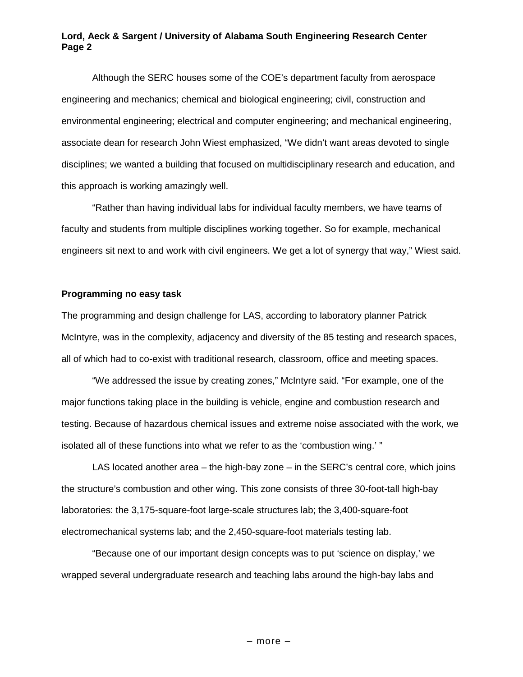#### **Lord, Aeck & Sargent / University of Alabama South Engineering Research Center Page 2**

Although the SERC houses some of the COE's department faculty from aerospace engineering and mechanics; chemical and biological engineering; civil, construction and environmental engineering; electrical and computer engineering; and mechanical engineering, associate dean for research John Wiest emphasized, "We didn't want areas devoted to single disciplines; we wanted a building that focused on multidisciplinary research and education, and this approach is working amazingly well.

"Rather than having individual labs for individual faculty members, we have teams of faculty and students from multiple disciplines working together. So for example, mechanical engineers sit next to and work with civil engineers. We get a lot of synergy that way," Wiest said.

#### **Programming no easy task**

The programming and design challenge for LAS, according to laboratory planner Patrick McIntyre, was in the complexity, adjacency and diversity of the 85 testing and research spaces, all of which had to co-exist with traditional research, classroom, office and meeting spaces.

"We addressed the issue by creating zones," McIntyre said. "For example, one of the major functions taking place in the building is vehicle, engine and combustion research and testing. Because of hazardous chemical issues and extreme noise associated with the work, we isolated all of these functions into what we refer to as the 'combustion wing.' "

LAS located another area – the high-bay zone – in the SERC's central core, which joins the structure's combustion and other wing. This zone consists of three 30-foot-tall high-bay laboratories: the 3,175-square-foot large-scale structures lab; the 3,400-square-foot electromechanical systems lab; and the 2,450-square-foot materials testing lab.

"Because one of our important design concepts was to put 'science on display,' we wrapped several undergraduate research and teaching labs around the high-bay labs and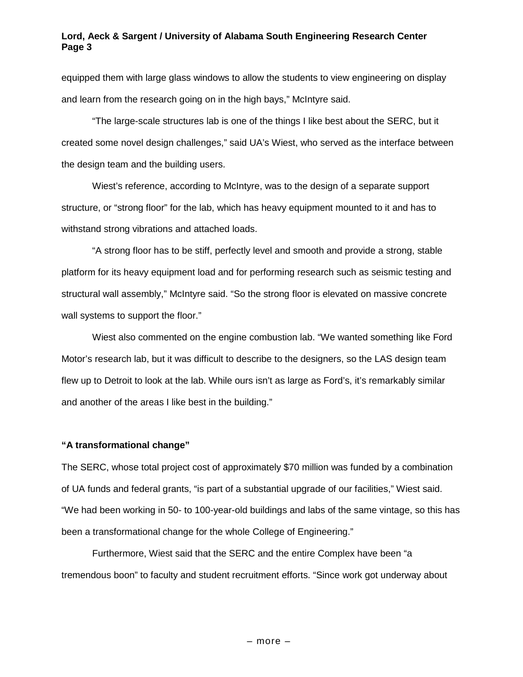#### **Lord, Aeck & Sargent / University of Alabama South Engineering Research Center Page 3**

equipped them with large glass windows to allow the students to view engineering on display and learn from the research going on in the high bays," McIntyre said.

"The large-scale structures lab is one of the things I like best about the SERC, but it created some novel design challenges," said UA's Wiest, who served as the interface between the design team and the building users.

Wiest's reference, according to McIntyre, was to the design of a separate support structure, or "strong floor" for the lab, which has heavy equipment mounted to it and has to withstand strong vibrations and attached loads.

"A strong floor has to be stiff, perfectly level and smooth and provide a strong, stable platform for its heavy equipment load and for performing research such as seismic testing and structural wall assembly," McIntyre said. "So the strong floor is elevated on massive concrete wall systems to support the floor."

Wiest also commented on the engine combustion lab. "We wanted something like Ford Motor's research lab, but it was difficult to describe to the designers, so the LAS design team flew up to Detroit to look at the lab. While ours isn't as large as Ford's, it's remarkably similar and another of the areas I like best in the building."

#### **"A transformational change"**

The SERC, whose total project cost of approximately \$70 million was funded by a combination of UA funds and federal grants, "is part of a substantial upgrade of our facilities," Wiest said. "We had been working in 50- to 100-year-old buildings and labs of the same vintage, so this has been a transformational change for the whole College of Engineering."

Furthermore, Wiest said that the SERC and the entire Complex have been "a tremendous boon" to faculty and student recruitment efforts. "Since work got underway about